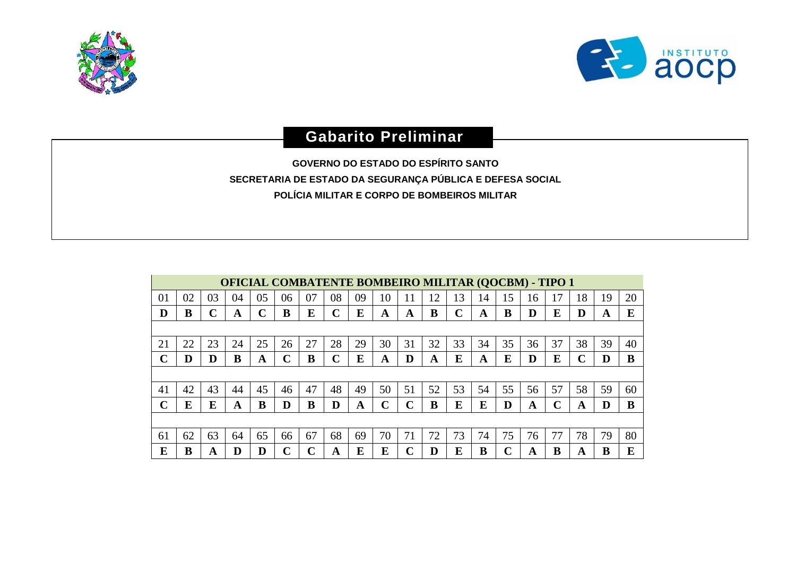



## **Gabarito Preliminar**

**GOVERNO DO ESTADO DO ESPÍRITO SANTO SECRETARIA DE ESTADO DA SEGURANÇA PÚBLICA E DEFESA SOCIAL POLÍCIA MILITAR E CORPO DE BOMBEIROS MILITAR**

|    | <b>OFICIAL COMBATENTE BOMBEIRO MILITAR (QOCBM) - TIPO 1</b> |    |    |             |    |    |    |    |             |              |    |             |    |    |    |    |    |    |    |
|----|-------------------------------------------------------------|----|----|-------------|----|----|----|----|-------------|--------------|----|-------------|----|----|----|----|----|----|----|
| 01 | 02                                                          | 03 | 04 | 05          | 06 | 07 | 08 | 09 | 10          |              | 12 | 13          | 14 | 15 | 16 | 17 | 18 | 19 | 20 |
| D  | B                                                           |    | A  | $\mathbf C$ | B  | E  | C  | E  | A           | A            | B  | $\mathbf C$ | A  | B  | D  | E  | D  | A  | E  |
|    |                                                             |    |    |             |    |    |    |    |             |              |    |             |    |    |    |    |    |    |    |
| 21 | 22                                                          | 23 | 24 | 25          | 26 | 27 | 28 | 29 | 30          | 31           | 32 | 33          | 34 | 35 | 36 | 37 | 38 | 39 | 40 |
| C  | D                                                           | D  | B  | A           | C  | B  | C  | E  | A           | D            | A  | E           | A  | E  | D  | E  | C  |    | B  |
|    |                                                             |    |    |             |    |    |    |    |             |              |    |             |    |    |    |    |    |    |    |
| 41 | 42                                                          | 43 | 44 | 45          | 46 | 47 | 48 | 49 | 50          | 51           | 52 | 53          | 54 | 55 | 56 | 57 | 58 | 59 | 60 |
| ⌒  | E                                                           | E  | A  | В           | D  | B  | D  | A  | $\mathbf C$ | $\mathbf{C}$ | B  | E           | E  | D  | A  | C  | A  |    | B  |
|    |                                                             |    |    |             |    |    |    |    |             |              |    |             |    |    |    |    |    |    |    |
| 61 | 62                                                          | 63 | 64 | 65          | 66 | 67 | 68 | 69 | 70          | 71           | 72 | 73          | 74 | 75 | 76 | 77 | 78 | 79 | 80 |
| E  | B                                                           | A  | D  | D           | ⌒  | C  | A  | E  | E           | ⌒            |    | E           | B  | r  | A  | B  | A  | B  | E  |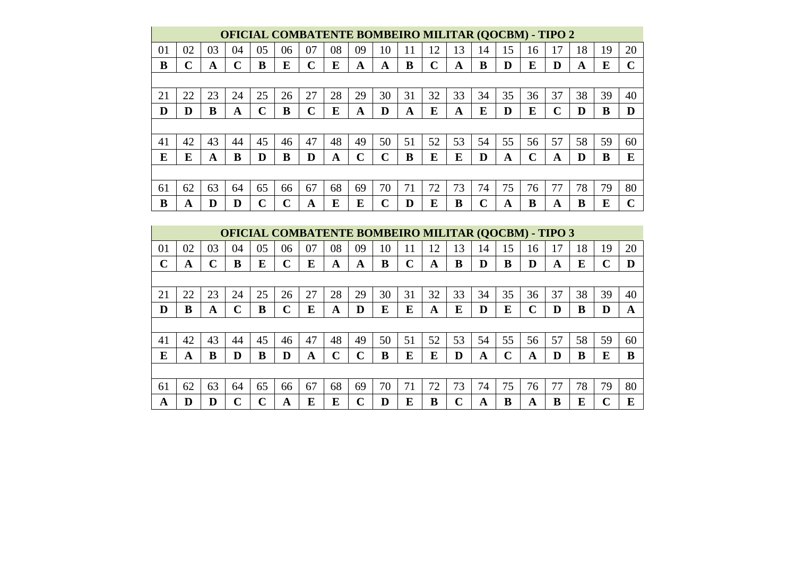|    | <b>OFICIAL COMBATENTE BOMBEIRO MILITAR (QOCBM) - TIPO 2</b> |    |    |    |    |             |    |    |        |    |    |    |    |    |    |    |    |    |        |
|----|-------------------------------------------------------------|----|----|----|----|-------------|----|----|--------|----|----|----|----|----|----|----|----|----|--------|
| 01 | 02                                                          | 03 | 04 | 05 | 06 | 07          | 08 | 09 | 10     | 11 | 12 | 13 | 14 | 15 | 16 | 17 | 18 | 19 | 20     |
| B  | ⌒                                                           | A  | C  | в  | E  | $\mathbf C$ | E  | A  | A      | B  | C  | A  | B  | D  | E  | D  | A  | E  | $\sim$ |
|    |                                                             |    |    |    |    |             |    |    |        |    |    |    |    |    |    |    |    |    |        |
| 21 | 22                                                          | 23 | 24 | 25 | 26 | 27          | 28 | 29 | 30     | 31 | 32 | 33 | 34 | 35 | 36 | 37 | 38 | 39 | 40     |
| D  | D                                                           | B  | A  | ◠  | B  | C           | E  | A  | D      | A  | E  | A  | E  | D  | E  | C  | D  | B  | D      |
|    |                                                             |    |    |    |    |             |    |    |        |    |    |    |    |    |    |    |    |    |        |
| 41 | 42                                                          | 43 | 44 | 45 | 46 | 47          | 48 | 49 | 50     | 51 | 52 | 53 | 54 | 55 | 56 | 57 | 58 | 59 | 60     |
| E  | E                                                           | A  | B  | D  | B  | D           | A  | ⌒  | $\sim$ | B  | E  | E  | D  | A  | C  | A  | D  | B  | E      |
|    |                                                             |    |    |    |    |             |    |    |        |    |    |    |    |    |    |    |    |    |        |
| 61 | 62                                                          | 63 | 64 | 65 | 66 | 67          | 68 | 69 | 70     | 71 | 72 | 73 | 74 | 75 | 76 | 77 | 78 | 79 | 80     |
| B  | A                                                           | D  |    | r. | ⌒  | A           | E  | E  | ⌒      | D  | E  | B  | ⌒  | A  | в  | A  | B  | E  |        |

|    | <b>OFICIAL COMBATENTE BOMBEIRO MILITAR (QOCBM) - TIPO 3</b> |    |    |    |             |    |             |                         |    |    |    |                |    |             |    |    |    |    |    |
|----|-------------------------------------------------------------|----|----|----|-------------|----|-------------|-------------------------|----|----|----|----------------|----|-------------|----|----|----|----|----|
| 01 | 02                                                          | 03 | 04 | 05 | 06          | 07 | 08          | 09                      | 10 | 11 | 12 | $\overline{3}$ | 14 | 15          | 16 | 17 | 18 | 19 | 20 |
| ∩  | A                                                           | ∩  | B  | E  | $\mathbf C$ | E  | A           | A                       | B  | C  | A  | B              | D  | B           | D  | A  | E  | C  | D  |
|    |                                                             |    |    |    |             |    |             |                         |    |    |    |                |    |             |    |    |    |    |    |
| 21 | 22                                                          | 23 | 24 | 25 | 26          | 27 | 28          | 29                      | 30 | 31 | 32 | 33             | 34 | 35          | 36 | 37 | 38 | 39 | 40 |
| D  | B                                                           | A  |    | B  | $\mathbf C$ | E  | A           | D                       | E  | E  | A  | E              | D  | E           | C  | D  | B  | D  | A  |
|    |                                                             |    |    |    |             |    |             |                         |    |    |    |                |    |             |    |    |    |    |    |
| 41 | 42                                                          | 43 | 44 | 45 | 46          | 47 | 48          | 49                      | 50 | 51 | 52 | 53             | 54 | 55          | 56 | 57 | 58 | 59 | 60 |
| E  | A                                                           | B  | D  | B  | D           | A  | $\mathbf C$ | $\overline{\mathbf{C}}$ | B  | E  | E  | D              | A  | $\mathbf C$ | A  | D  | B  | E  | B  |
|    |                                                             |    |    |    |             |    |             |                         |    |    |    |                |    |             |    |    |    |    |    |
| 61 | 62                                                          | 63 | 64 | 65 | 66          | 67 | 68          | 69                      | 70 | 71 | 72 | 73             | 74 | 75          | 76 | 77 | 78 | 79 | 80 |
| A  | D                                                           |    | ⌒  |    | A           | E  | E           | ⌒                       | D  | E  | В  | ⌒              | A  | B           | A  | B  | E  | ⌒  | E  |